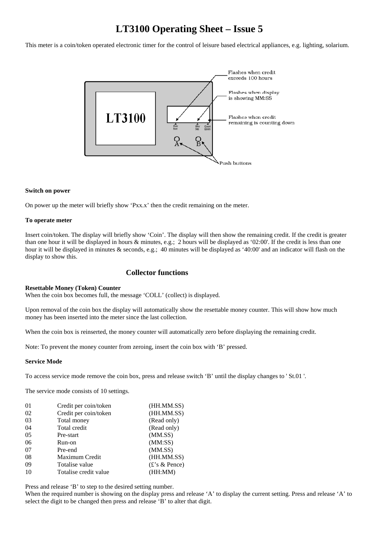# **LT3100 Operating Sheet – Issue 5**

This meter is a coin/token operated electronic timer for the control of leisure based electrical appliances, e.g. lighting, solarium.



## **Switch on power**

On power up the meter will briefly show 'Pxx.x' then the credit remaining on the meter.

### **To operate meter**

Insert coin/token. The display will briefly show 'Coin'. The display will then show the remaining credit. If the credit is greater than one hour it will be displayed in hours & minutes, e.g.; 2 hours will be displayed as '02:00'. If the credit is less than one hour it will be displayed in minutes & seconds, e.g.; 40 minutes will be displayed as '40:00' and an indicator will flash on the display to show this.

## **Collector functions**

#### **Resettable Money (Token) Counter**

When the coin box becomes full, the message 'COLL' (collect) is displayed.

Upon removal of the coin box the display will automatically show the resettable money counter. This will show how much money has been inserted into the meter since the last collection.

When the coin box is reinserted, the money counter will automatically zero before displaying the remaining credit.

Note: To prevent the money counter from zeroing, insert the coin box with 'B' pressed.

#### **Service Mode**

To access service mode remove the coin box, press and release switch 'B' until the display changes to ' St.01 '.

The service mode consists of 10 settings.

| 01 | Credit per coin/token | (HH.MM.SS)       |
|----|-----------------------|------------------|
| 02 | Credit per coin/token | (HH.MM.SS)       |
| 03 | Total money           | (Read only)      |
| 04 | Total credit          | (Read only)      |
| 05 | Pre-start             | (MM.SS)          |
| 06 | Run-on                | (MM:SS)          |
| 07 | Pre-end               | (MM.SS)          |
| 08 | Maximum Credit        | (HH.MM.SS)       |
| 09 | Totalise value        | $(E$ 's & Pence) |
| 10 | Totalise credit value | (HH:MM)          |

Press and release 'B' to step to the desired setting number.

When the required number is showing on the display press and release 'A' to display the current setting. Press and release 'A' to select the digit to be changed then press and release 'B' to alter that digit.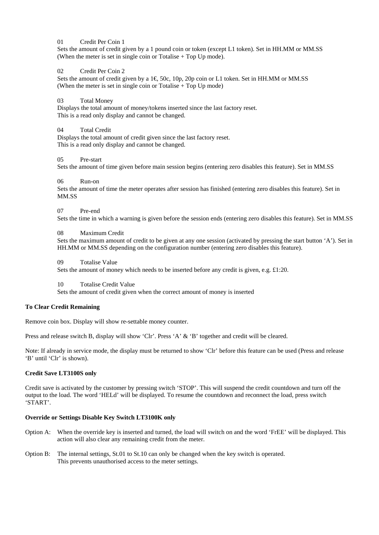01 Credit Per Coin 1

Sets the amount of credit given by a 1 pound coin or token (except L1 token). Set in HH.MM or MM.SS (When the meter is set in single coin or Totalise + Top Up mode).

02 Credit Per Coin 2

Sets the amount of credit given by a  $1 \in$  50c, 10p, 20p coin or L1 token. Set in HH.MM or MM.SS (When the meter is set in single coin or Totalise + Top Up mode)

03 Total Money

Displays the total amount of money/tokens inserted since the last factory reset. This is a read only display and cannot be changed.

04 Total Credit

Displays the total amount of credit given since the last factory reset. This is a read only display and cannot be changed.

05 Pre-start

Sets the amount of time given before main session begins (entering zero disables this feature). Set in MM.SS

#### 06 Run-on

Sets the amount of time the meter operates after session has finished (entering zero disables this feature). Set in MM.SS

#### 07 Pre-end

Sets the time in which a warning is given before the session ends (entering zero disables this feature). Set in MM.SS

#### 08 Maximum Credit

Sets the maximum amount of credit to be given at any one session (activated by pressing the start button 'A'). Set in HH.MM or MM.SS depending on the configuration number (entering zero disables this feature).

09 Totalise Value

Sets the amount of money which needs to be inserted before any credit is given, e.g. £1:20.

10 Totalise Credit Value

Sets the amount of credit given when the correct amount of money is inserted

#### **To Clear Credit Remaining**

Remove coin box. Display will show re-settable money counter.

Press and release switch B, display will show 'Clr'. Press 'A' & 'B' together and credit will be cleared.

Note: If already in service mode, the display must be returned to show 'Clr' before this feature can be used (Press and release 'B' until 'Clr' is shown).

## **Credit Save LT3100S only**

Credit save is activated by the customer by pressing switch 'STOP'. This will suspend the credit countdown and turn off the output to the load. The word 'HELd' will be displayed. To resume the countdown and reconnect the load, press switch 'START'.

#### **Override or Settings Disable Key Switch LT3100K only**

- Option A: When the override key is inserted and turned, the load will switch on and the word 'FrEE' will be displayed. This action will also clear any remaining credit from the meter.
- Option B: The internal settings, St.01 to St.10 can only be changed when the key switch is operated. This prevents unauthorised access to the meter settings.